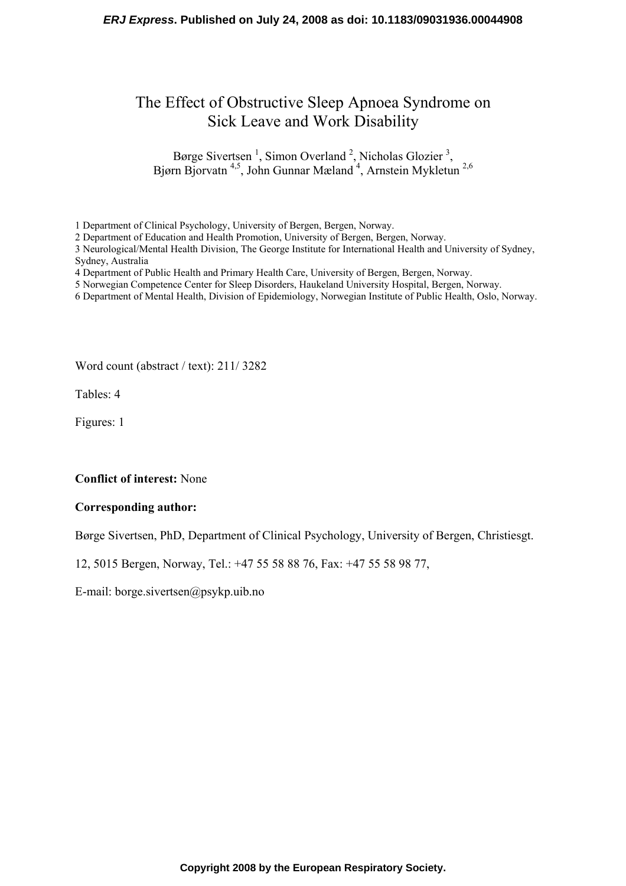# The Effect of Obstructive Sleep Apnoea Syndrome on Sick Leave and Work Disability

Børge Sivertsen<sup>1</sup>, Simon Overland<sup>2</sup>, Nicholas Glozier<sup>3</sup>, Bjørn Bjorvatn<sup>4,5</sup>, John Gunnar Mæland<sup>4</sup>, Arnstein Mykletun<sup>2,6</sup>

1 Department of Clinical Psychology, University of Bergen, Bergen, Norway.

2 Department of Education and Health Promotion, University of Bergen, Bergen, Norway.

3 Neurological/Mental Health Division, The George Institute for International Health and University of Sydney, Sydney, Australia

- 4 Department of Public Health and Primary Health Care, University of Bergen, Bergen, Norway.
- 5 Norwegian Competence Center for Sleep Disorders, Haukeland University Hospital, Bergen, Norway.
- 6 Department of Mental Health, Division of Epidemiology, Norwegian Institute of Public Health, Oslo, Norway.

Word count (abstract / text): 211/ 3282

Tables: 4

Figures: 1

#### **Conflict of interest:** None

#### **Corresponding author:**

Børge Sivertsen, PhD, Department of Clinical Psychology, University of Bergen, Christiesgt.

12, 5015 Bergen, Norway, Tel.: +47 55 58 88 76, Fax: +47 55 58 98 77,

E-mail: borge.sivertsen@psykp.uib.no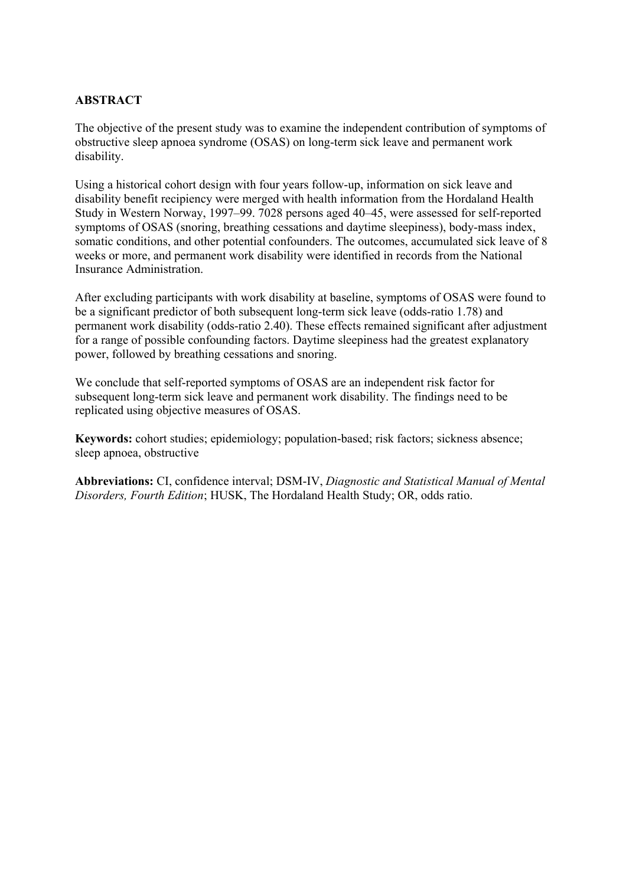# **ABSTRACT**

The objective of the present study was to examine the independent contribution of symptoms of obstructive sleep apnoea syndrome (OSAS) on long-term sick leave and permanent work disability.

Using a historical cohort design with four years follow-up, information on sick leave and disability benefit recipiency were merged with health information from the Hordaland Health Study in Western Norway, 1997–99. 7028 persons aged 40–45, were assessed for self-reported symptoms of OSAS (snoring, breathing cessations and daytime sleepiness), body-mass index, somatic conditions, and other potential confounders. The outcomes, accumulated sick leave of 8 weeks or more, and permanent work disability were identified in records from the National Insurance Administration.

After excluding participants with work disability at baseline, symptoms of OSAS were found to be a significant predictor of both subsequent long-term sick leave (odds-ratio 1.78) and permanent work disability (odds-ratio 2.40). These effects remained significant after adjustment for a range of possible confounding factors. Daytime sleepiness had the greatest explanatory power, followed by breathing cessations and snoring.

We conclude that self-reported symptoms of OSAS are an independent risk factor for subsequent long-term sick leave and permanent work disability. The findings need to be replicated using objective measures of OSAS.

**Keywords:** cohort studies; epidemiology; population-based; risk factors; sickness absence; sleep apnoea, obstructive

**Abbreviations:** CI, confidence interval; DSM-IV, *Diagnostic and Statistical Manual of Mental Disorders, Fourth Edition*; HUSK, The Hordaland Health Study; OR, odds ratio.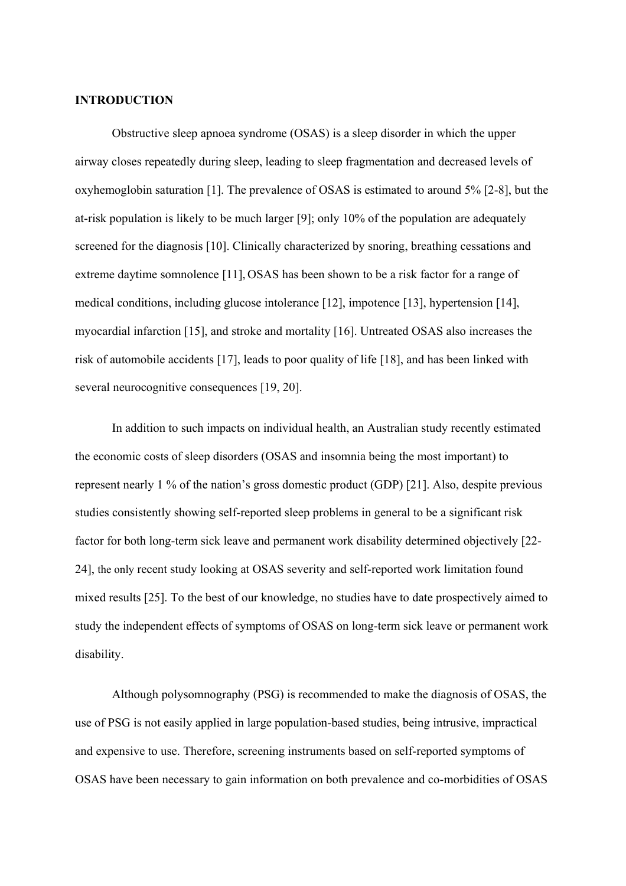### **INTRODUCTION**

Obstructive sleep apnoea syndrome (OSAS) is a sleep disorder in which the upper airway closes repeatedly during sleep, leading to sleep fragmentation and decreased levels of oxyhemoglobin saturation [1]. The prevalence of OSAS is estimated to around 5% [2-8], but the at-risk population is likely to be much larger [9]; only 10% of the population are adequately screened for the diagnosis [10]. Clinically characterized by snoring, breathing cessations and extreme daytime somnolence [11], OSAS has been shown to be a risk factor for a range of medical conditions, including glucose intolerance [12], impotence [13], hypertension [14], myocardial infarction [15], and stroke and mortality [16]. Untreated OSAS also increases the risk of automobile accidents [17], leads to poor quality of life [18], and has been linked with several neurocognitive consequences [19, 20].

In addition to such impacts on individual health, an Australian study recently estimated the economic costs of sleep disorders (OSAS and insomnia being the most important) to represent nearly 1 % of the nation's gross domestic product (GDP) [21]. Also, despite previous studies consistently showing self-reported sleep problems in general to be a significant risk factor for both long-term sick leave and permanent work disability determined objectively [22- 24], the only recent study looking at OSAS severity and self-reported work limitation found mixed results [25]. To the best of our knowledge, no studies have to date prospectively aimed to study the independent effects of symptoms of OSAS on long-term sick leave or permanent work disability.

Although polysomnography (PSG) is recommended to make the diagnosis of OSAS, the use of PSG is not easily applied in large population-based studies, being intrusive, impractical and expensive to use. Therefore, screening instruments based on self-reported symptoms of OSAS have been necessary to gain information on both prevalence and co-morbidities of OSAS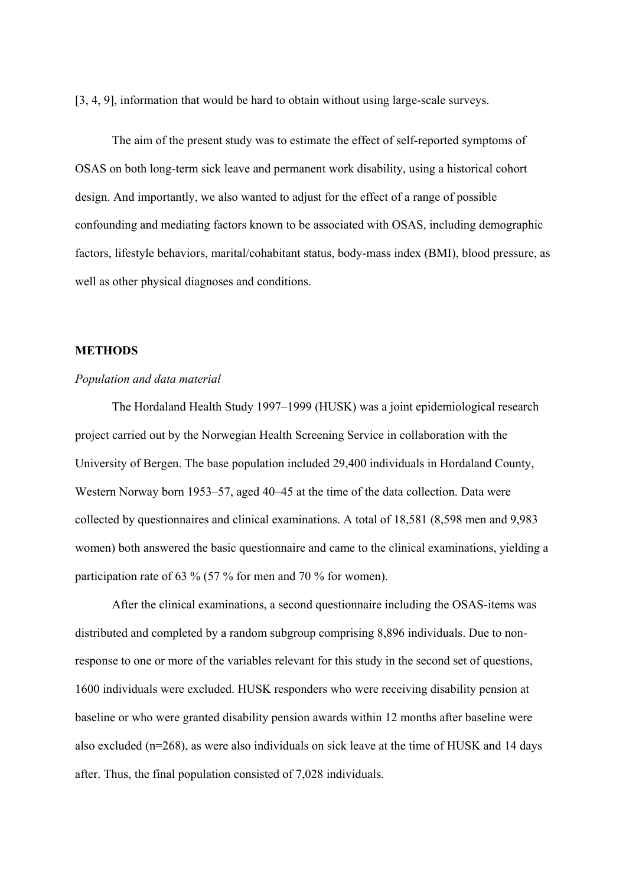[3, 4, 9], information that would be hard to obtain without using large-scale surveys.

The aim of the present study was to estimate the effect of self-reported symptoms of OSAS on both long-term sick leave and permanent work disability, using a historical cohort design. And importantly, we also wanted to adjust for the effect of a range of possible confounding and mediating factors known to be associated with OSAS, including demographic factors, lifestyle behaviors, marital/cohabitant status, body-mass index (BMI), blood pressure, as well as other physical diagnoses and conditions.

#### **METHODS**

#### *Population and data material*

The Hordaland Health Study 1997–1999 (HUSK) was a joint epidemiological research project carried out by the Norwegian Health Screening Service in collaboration with the University of Bergen. The base population included 29,400 individuals in Hordaland County, Western Norway born 1953–57, aged 40–45 at the time of the data collection. Data were collected by questionnaires and clinical examinations. A total of 18,581 (8,598 men and 9,983 women) both answered the basic questionnaire and came to the clinical examinations, yielding a participation rate of 63 % (57 % for men and 70 % for women).

After the clinical examinations, a second questionnaire including the OSAS-items was distributed and completed by a random subgroup comprising 8,896 individuals. Due to nonresponse to one or more of the variables relevant for this study in the second set of questions, 1600 individuals were excluded. HUSK responders who were receiving disability pension at baseline or who were granted disability pension awards within 12 months after baseline were also excluded (n=268), as were also individuals on sick leave at the time of HUSK and 14 days after. Thus, the final population consisted of 7,028 individuals.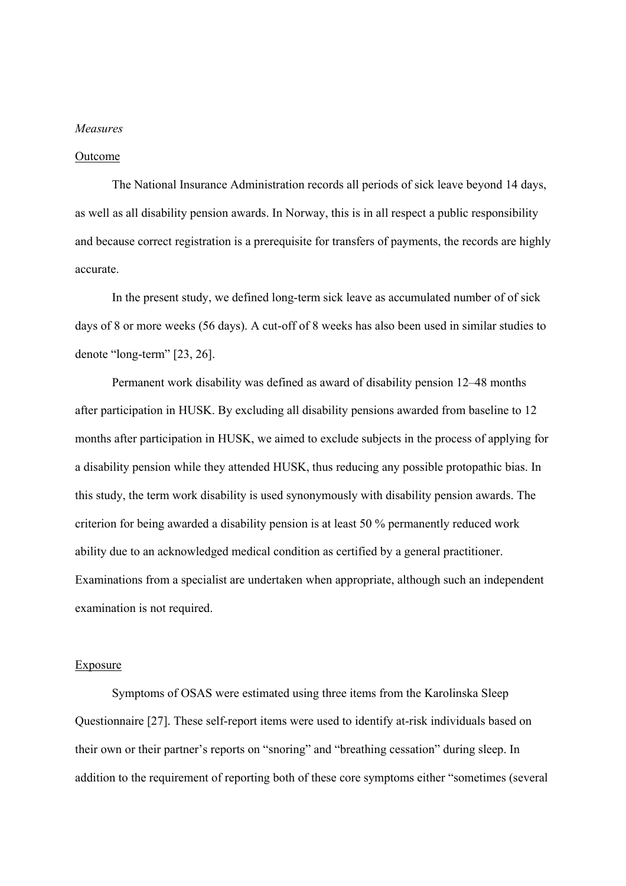#### *Measures*

#### Outcome

The National Insurance Administration records all periods of sick leave beyond 14 days, as well as all disability pension awards. In Norway, this is in all respect a public responsibility and because correct registration is a prerequisite for transfers of payments, the records are highly accurate.

In the present study, we defined long-term sick leave as accumulated number of of sick days of 8 or more weeks (56 days). A cut-off of 8 weeks has also been used in similar studies to denote "long-term" [23, 26].

Permanent work disability was defined as award of disability pension 12–48 months after participation in HUSK. By excluding all disability pensions awarded from baseline to 12 months after participation in HUSK, we aimed to exclude subjects in the process of applying for a disability pension while they attended HUSK, thus reducing any possible protopathic bias. In this study, the term work disability is used synonymously with disability pension awards. The criterion for being awarded a disability pension is at least 50 % permanently reduced work ability due to an acknowledged medical condition as certified by a general practitioner. Examinations from a specialist are undertaken when appropriate, although such an independent examination is not required.

#### Exposure

 Symptoms of OSAS were estimated using three items from the Karolinska Sleep Questionnaire [27]. These self-report items were used to identify at-risk individuals based on their own or their partner's reports on "snoring" and "breathing cessation" during sleep. In addition to the requirement of reporting both of these core symptoms either "sometimes (several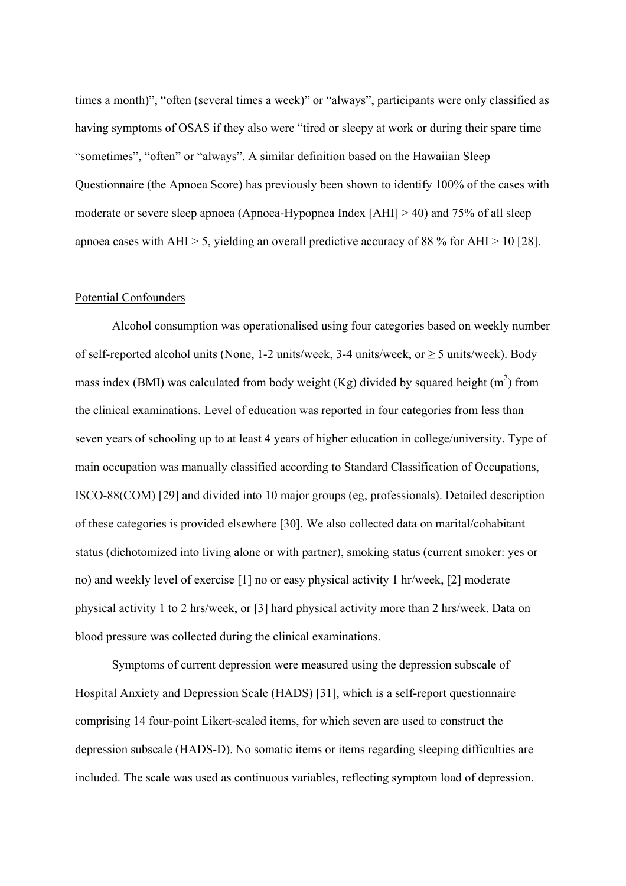times a month)", "often (several times a week)" or "always", participants were only classified as having symptoms of OSAS if they also were "tired or sleepy at work or during their spare time "sometimes", "often" or "always". A similar definition based on the Hawaiian Sleep Questionnaire (the Apnoea Score) has previously been shown to identify 100% of the cases with moderate or severe sleep apnoea (Apnoea-Hypopnea Index [AHI] > 40) and 75% of all sleep apnoea cases with AHI  $> 5$ , yielding an overall predictive accuracy of 88 % for AHI  $> 10$  [28].

#### Potential Confounders

Alcohol consumption was operationalised using four categories based on weekly number of self-reported alcohol units (None, 1-2 units/week, 3-4 units/week, or  $\geq$  5 units/week). Body mass index (BMI) was calculated from body weight (Kg) divided by squared height  $(m<sup>2</sup>)$  from the clinical examinations. Level of education was reported in four categories from less than seven years of schooling up to at least 4 years of higher education in college/university. Type of main occupation was manually classified according to Standard Classification of Occupations, ISCO-88(COM) [29] and divided into 10 major groups (eg, professionals). Detailed description of these categories is provided elsewhere [30]. We also collected data on marital/cohabitant status (dichotomized into living alone or with partner), smoking status (current smoker: yes or no) and weekly level of exercise [1] no or easy physical activity 1 hr/week, [2] moderate physical activity 1 to 2 hrs/week, or [3] hard physical activity more than 2 hrs/week. Data on blood pressure was collected during the clinical examinations.

Symptoms of current depression were measured using the depression subscale of Hospital Anxiety and Depression Scale (HADS) [31], which is a self-report questionnaire comprising 14 four-point Likert-scaled items, for which seven are used to construct the depression subscale (HADS-D). No somatic items or items regarding sleeping difficulties are included. The scale was used as continuous variables, reflecting symptom load of depression.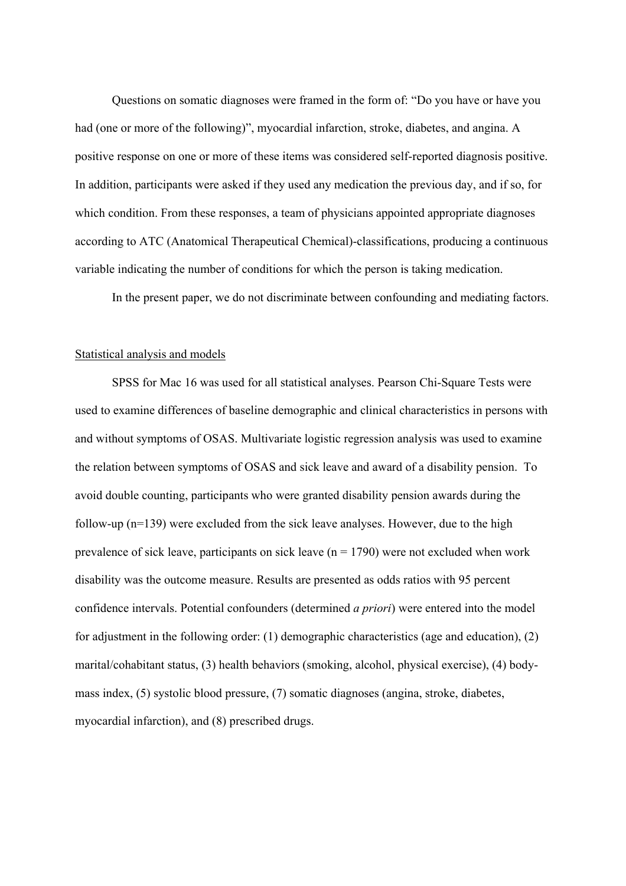Questions on somatic diagnoses were framed in the form of: "Do you have or have you had (one or more of the following)", myocardial infarction, stroke, diabetes, and angina. A positive response on one or more of these items was considered self-reported diagnosis positive. In addition, participants were asked if they used any medication the previous day, and if so, for which condition. From these responses, a team of physicians appointed appropriate diagnoses according to ATC (Anatomical Therapeutical Chemical)-classifications, producing a continuous variable indicating the number of conditions for which the person is taking medication.

In the present paper, we do not discriminate between confounding and mediating factors.

#### Statistical analysis and models

SPSS for Mac 16 was used for all statistical analyses. Pearson Chi-Square Tests were used to examine differences of baseline demographic and clinical characteristics in persons with and without symptoms of OSAS. Multivariate logistic regression analysis was used to examine the relation between symptoms of OSAS and sick leave and award of a disability pension. To avoid double counting, participants who were granted disability pension awards during the follow-up (n=139) were excluded from the sick leave analyses. However, due to the high prevalence of sick leave, participants on sick leave  $(n = 1790)$  were not excluded when work disability was the outcome measure. Results are presented as odds ratios with 95 percent confidence intervals. Potential confounders (determined *a priori*) were entered into the model for adjustment in the following order: (1) demographic characteristics (age and education), (2) marital/cohabitant status, (3) health behaviors (smoking, alcohol, physical exercise), (4) bodymass index, (5) systolic blood pressure, (7) somatic diagnoses (angina, stroke, diabetes, myocardial infarction), and (8) prescribed drugs.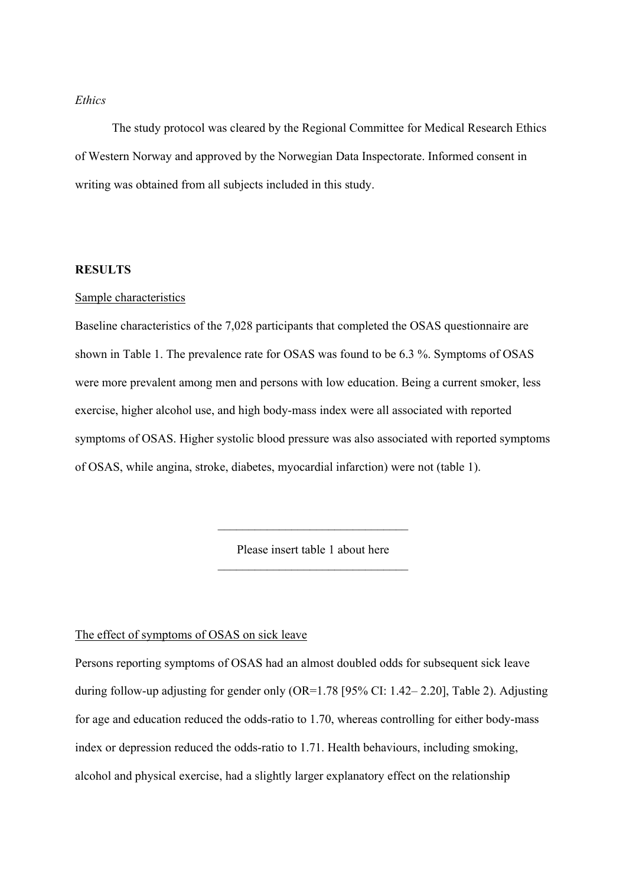## *Ethics*

The study protocol was cleared by the Regional Committee for Medical Research Ethics of Western Norway and approved by the Norwegian Data Inspectorate. Informed consent in writing was obtained from all subjects included in this study.

#### **RESULTS**

#### Sample characteristics

Baseline characteristics of the 7,028 participants that completed the OSAS questionnaire are shown in Table 1. The prevalence rate for OSAS was found to be 6.3 %. Symptoms of OSAS were more prevalent among men and persons with low education. Being a current smoker, less exercise, higher alcohol use, and high body-mass index were all associated with reported symptoms of OSAS. Higher systolic blood pressure was also associated with reported symptoms of OSAS, while angina, stroke, diabetes, myocardial infarction) were not (table 1).

> Please insert table 1 about here \_\_\_\_\_\_\_\_\_\_\_\_\_\_\_\_\_\_\_\_\_\_\_\_\_\_\_\_\_\_\_

> \_\_\_\_\_\_\_\_\_\_\_\_\_\_\_\_\_\_\_\_\_\_\_\_\_\_\_\_\_\_\_

The effect of symptoms of OSAS on sick leave

Persons reporting symptoms of OSAS had an almost doubled odds for subsequent sick leave during follow-up adjusting for gender only (OR=1.78 [95% CI: 1.42– 2.20], Table 2). Adjusting for age and education reduced the odds-ratio to 1.70, whereas controlling for either body-mass index or depression reduced the odds-ratio to 1.71. Health behaviours, including smoking, alcohol and physical exercise, had a slightly larger explanatory effect on the relationship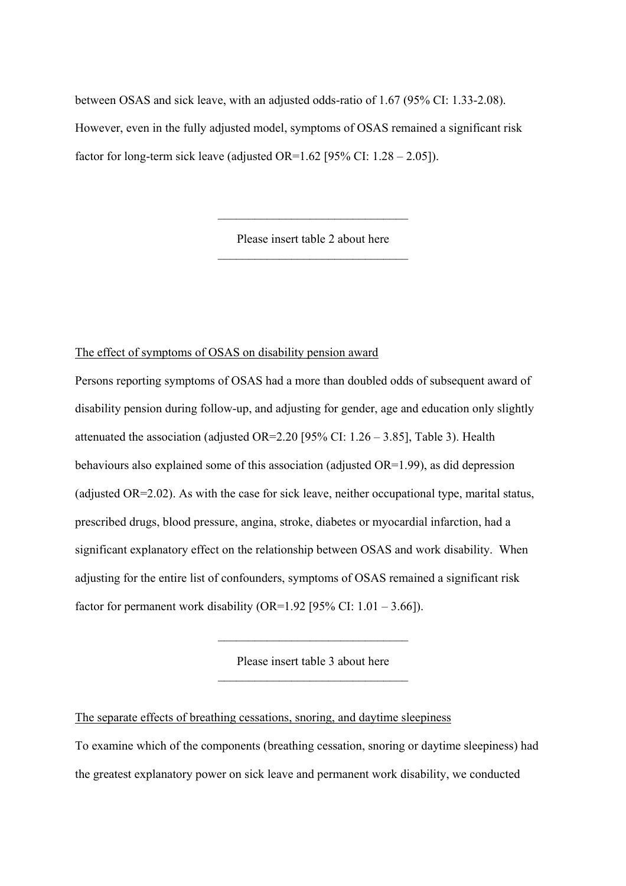between OSAS and sick leave, with an adjusted odds-ratio of 1.67 (95% CI: 1.33-2.08). However, even in the fully adjusted model, symptoms of OSAS remained a significant risk factor for long-term sick leave (adjusted OR= $1.62$  [95% CI:  $1.28 - 2.05$ ]).

> Please insert table 2 about here  $\mathcal{L}_\text{max}$

> $\mathcal{L}_\text{max}$

# The effect of symptoms of OSAS on disability pension award

Persons reporting symptoms of OSAS had a more than doubled odds of subsequent award of disability pension during follow-up, and adjusting for gender, age and education only slightly attenuated the association (adjusted OR=2.20 [95% CI:  $1.26 - 3.85$ ], Table 3). Health behaviours also explained some of this association (adjusted OR=1.99), as did depression (adjusted OR=2.02). As with the case for sick leave, neither occupational type, marital status, prescribed drugs, blood pressure, angina, stroke, diabetes or myocardial infarction, had a significant explanatory effect on the relationship between OSAS and work disability. When adjusting for the entire list of confounders, symptoms of OSAS remained a significant risk factor for permanent work disability (OR=1.92 [95% CI:  $1.01 - 3.66$ ]).

> Please insert table 3 about here  $\mathcal{L}_\text{max}$

> \_\_\_\_\_\_\_\_\_\_\_\_\_\_\_\_\_\_\_\_\_\_\_\_\_\_\_\_\_\_\_

The separate effects of breathing cessations, snoring, and daytime sleepiness

To examine which of the components (breathing cessation, snoring or daytime sleepiness) had the greatest explanatory power on sick leave and permanent work disability, we conducted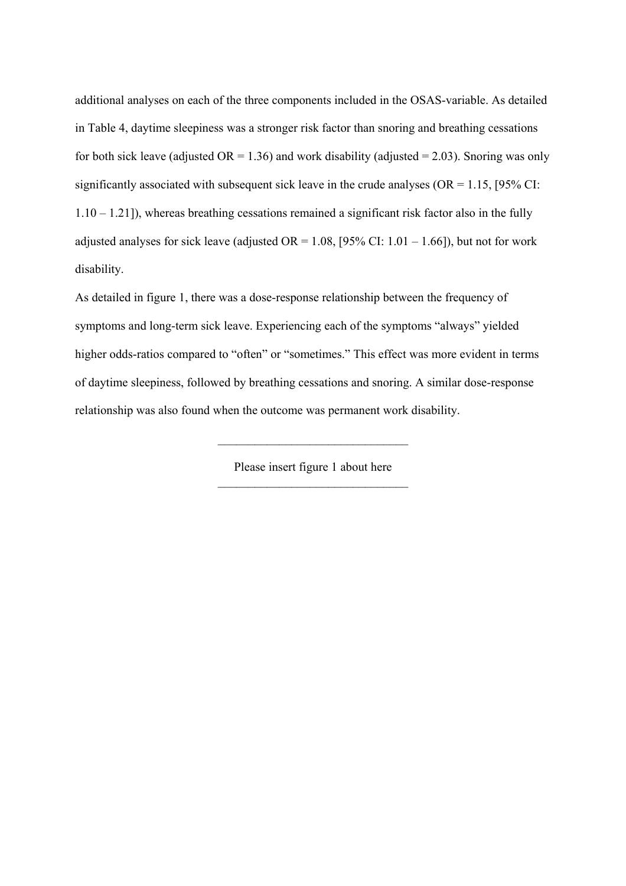additional analyses on each of the three components included in the OSAS-variable. As detailed in Table 4, daytime sleepiness was a stronger risk factor than snoring and breathing cessations for both sick leave (adjusted  $OR = 1.36$ ) and work disability (adjusted = 2.03). Snoring was only significantly associated with subsequent sick leave in the crude analyses ( $OR = 1.15$ , [95% CI:  $1.10 - 1.21$ ]), whereas breathing cessations remained a significant risk factor also in the fully adjusted analyses for sick leave (adjusted  $OR = 1.08$ , [95% CI:  $1.01 - 1.66$ ]), but not for work disability.

As detailed in figure 1, there was a dose-response relationship between the frequency of symptoms and long-term sick leave. Experiencing each of the symptoms "always" yielded higher odds-ratios compared to "often" or "sometimes." This effect was more evident in terms of daytime sleepiness, followed by breathing cessations and snoring. A similar dose-response relationship was also found when the outcome was permanent work disability.

> Please insert figure 1 about here \_\_\_\_\_\_\_\_\_\_\_\_\_\_\_\_\_\_\_\_\_\_\_\_\_\_\_\_\_\_\_

> $\mathcal{L}_\text{max}$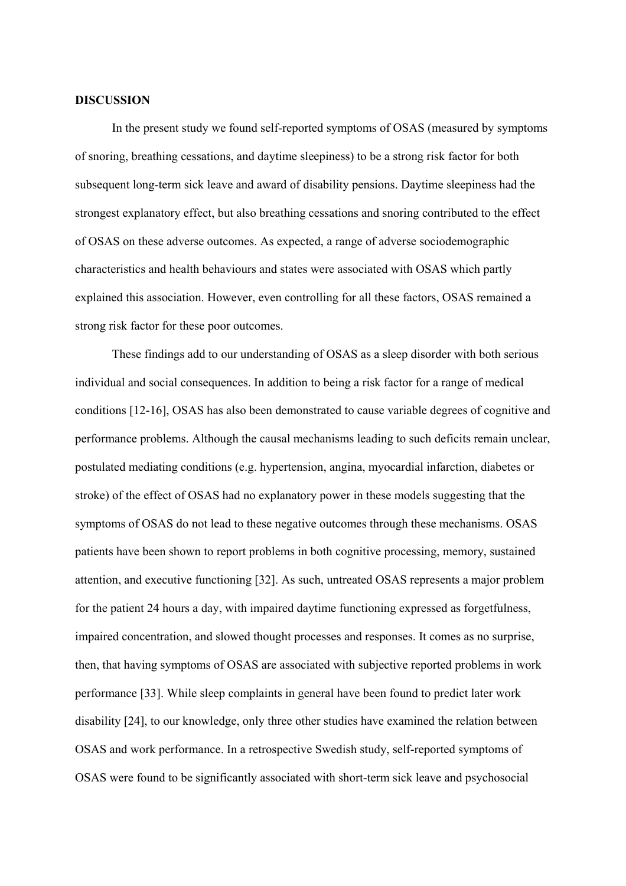#### **DISCUSSION**

In the present study we found self-reported symptoms of OSAS (measured by symptoms of snoring, breathing cessations, and daytime sleepiness) to be a strong risk factor for both subsequent long-term sick leave and award of disability pensions. Daytime sleepiness had the strongest explanatory effect, but also breathing cessations and snoring contributed to the effect of OSAS on these adverse outcomes. As expected, a range of adverse sociodemographic characteristics and health behaviours and states were associated with OSAS which partly explained this association. However, even controlling for all these factors, OSAS remained a strong risk factor for these poor outcomes.

These findings add to our understanding of OSAS as a sleep disorder with both serious individual and social consequences. In addition to being a risk factor for a range of medical conditions [12-16], OSAS has also been demonstrated to cause variable degrees of cognitive and performance problems. Although the causal mechanisms leading to such deficits remain unclear, postulated mediating conditions (e.g. hypertension, angina, myocardial infarction, diabetes or stroke) of the effect of OSAS had no explanatory power in these models suggesting that the symptoms of OSAS do not lead to these negative outcomes through these mechanisms. OSAS patients have been shown to report problems in both cognitive processing, memory, sustained attention, and executive functioning [32]. As such, untreated OSAS represents a major problem for the patient 24 hours a day, with impaired daytime functioning expressed as forgetfulness, impaired concentration, and slowed thought processes and responses. It comes as no surprise, then, that having symptoms of OSAS are associated with subjective reported problems in work performance [33]. While sleep complaints in general have been found to predict later work disability [24], to our knowledge, only three other studies have examined the relation between OSAS and work performance. In a retrospective Swedish study, self-reported symptoms of OSAS were found to be significantly associated with short-term sick leave and psychosocial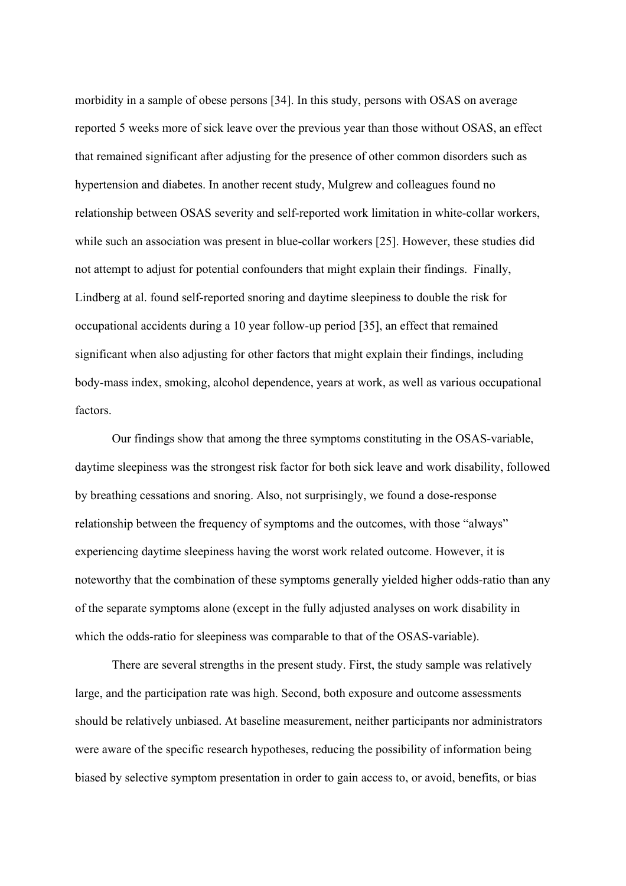morbidity in a sample of obese persons [34]. In this study, persons with OSAS on average reported 5 weeks more of sick leave over the previous year than those without OSAS, an effect that remained significant after adjusting for the presence of other common disorders such as hypertension and diabetes. In another recent study, Mulgrew and colleagues found no relationship between OSAS severity and self-reported work limitation in white-collar workers, while such an association was present in blue-collar workers [25]. However, these studies did not attempt to adjust for potential confounders that might explain their findings. Finally, Lindberg at al. found self-reported snoring and daytime sleepiness to double the risk for occupational accidents during a 10 year follow-up period [35], an effect that remained significant when also adjusting for other factors that might explain their findings, including body-mass index, smoking, alcohol dependence, years at work, as well as various occupational factors.

Our findings show that among the three symptoms constituting in the OSAS-variable, daytime sleepiness was the strongest risk factor for both sick leave and work disability, followed by breathing cessations and snoring. Also, not surprisingly, we found a dose-response relationship between the frequency of symptoms and the outcomes, with those "always" experiencing daytime sleepiness having the worst work related outcome. However, it is noteworthy that the combination of these symptoms generally yielded higher odds-ratio than any of the separate symptoms alone (except in the fully adjusted analyses on work disability in which the odds-ratio for sleepiness was comparable to that of the OSAS-variable).

There are several strengths in the present study. First, the study sample was relatively large, and the participation rate was high. Second, both exposure and outcome assessments should be relatively unbiased. At baseline measurement, neither participants nor administrators were aware of the specific research hypotheses, reducing the possibility of information being biased by selective symptom presentation in order to gain access to, or avoid, benefits, or bias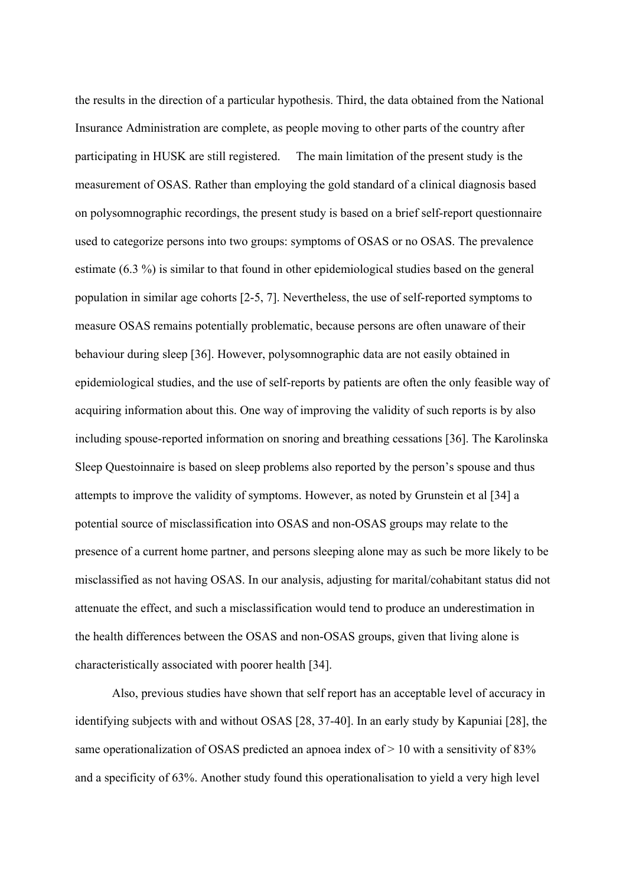the results in the direction of a particular hypothesis. Third, the data obtained from the National Insurance Administration are complete, as people moving to other parts of the country after participating in HUSK are still registered. The main limitation of the present study is the measurement of OSAS. Rather than employing the gold standard of a clinical diagnosis based on polysomnographic recordings, the present study is based on a brief self-report questionnaire used to categorize persons into two groups: symptoms of OSAS or no OSAS. The prevalence estimate (6.3 %) is similar to that found in other epidemiological studies based on the general population in similar age cohorts [2-5, 7]. Nevertheless, the use of self-reported symptoms to measure OSAS remains potentially problematic, because persons are often unaware of their behaviour during sleep [36]. However, polysomnographic data are not easily obtained in epidemiological studies, and the use of self-reports by patients are often the only feasible way of acquiring information about this. One way of improving the validity of such reports is by also including spouse-reported information on snoring and breathing cessations [36]. The Karolinska Sleep Questoinnaire is based on sleep problems also reported by the person's spouse and thus attempts to improve the validity of symptoms. However, as noted by Grunstein et al [34] a potential source of misclassification into OSAS and non-OSAS groups may relate to the presence of a current home partner, and persons sleeping alone may as such be more likely to be misclassified as not having OSAS. In our analysis, adjusting for marital/cohabitant status did not attenuate the effect, and such a misclassification would tend to produce an underestimation in the health differences between the OSAS and non-OSAS groups, given that living alone is characteristically associated with poorer health [34].

 Also, previous studies have shown that self report has an acceptable level of accuracy in identifying subjects with and without OSAS [28, 37-40]. In an early study by Kapuniai [28], the same operationalization of OSAS predicted an apnoea index of  $> 10$  with a sensitivity of 83% and a specificity of 63%. Another study found this operationalisation to yield a very high level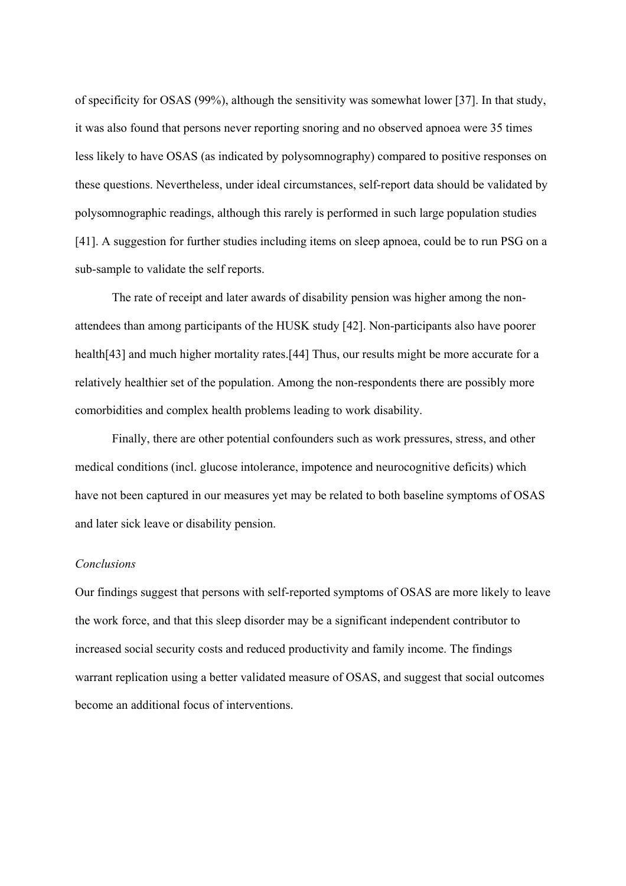of specificity for OSAS (99%), although the sensitivity was somewhat lower [37]. In that study, it was also found that persons never reporting snoring and no observed apnoea were 35 times less likely to have OSAS (as indicated by polysomnography) compared to positive responses on these questions. Nevertheless, under ideal circumstances, self-report data should be validated by polysomnographic readings, although this rarely is performed in such large population studies [41]. A suggestion for further studies including items on sleep apnoea, could be to run PSG on a sub-sample to validate the self reports.

 The rate of receipt and later awards of disability pension was higher among the nonattendees than among participants of the HUSK study [42]. Non-participants also have poorer health<sup>[43]</sup> and much higher mortality rates.<sup>[44]</sup> Thus, our results might be more accurate for a relatively healthier set of the population. Among the non-respondents there are possibly more comorbidities and complex health problems leading to work disability.

Finally, there are other potential confounders such as work pressures, stress, and other medical conditions (incl. glucose intolerance, impotence and neurocognitive deficits) which have not been captured in our measures yet may be related to both baseline symptoms of OSAS and later sick leave or disability pension.

#### *Conclusions*

Our findings suggest that persons with self-reported symptoms of OSAS are more likely to leave the work force, and that this sleep disorder may be a significant independent contributor to increased social security costs and reduced productivity and family income. The findings warrant replication using a better validated measure of OSAS, and suggest that social outcomes become an additional focus of interventions.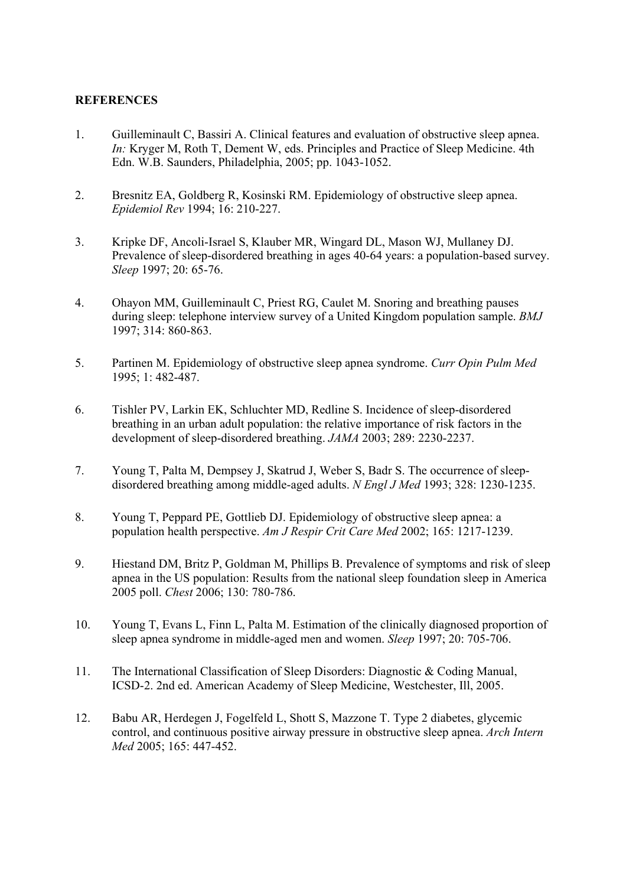## **REFERENCES**

- 1. Guilleminault C, Bassiri A. Clinical features and evaluation of obstructive sleep apnea. *In:* Kryger M, Roth T, Dement W, eds. Principles and Practice of Sleep Medicine. 4th Edn. W.B. Saunders, Philadelphia, 2005; pp. 1043-1052.
- 2. Bresnitz EA, Goldberg R, Kosinski RM. Epidemiology of obstructive sleep apnea. *Epidemiol Rev* 1994; 16: 210-227.
- 3. Kripke DF, Ancoli-Israel S, Klauber MR, Wingard DL, Mason WJ, Mullaney DJ. Prevalence of sleep-disordered breathing in ages 40-64 years: a population-based survey. *Sleep* 1997; 20: 65-76.
- 4. Ohayon MM, Guilleminault C, Priest RG, Caulet M. Snoring and breathing pauses during sleep: telephone interview survey of a United Kingdom population sample. *BMJ*  1997; 314: 860-863.
- 5. Partinen M. Epidemiology of obstructive sleep apnea syndrome. *Curr Opin Pulm Med*  1995; 1: 482-487.
- 6. Tishler PV, Larkin EK, Schluchter MD, Redline S. Incidence of sleep-disordered breathing in an urban adult population: the relative importance of risk factors in the development of sleep-disordered breathing. *JAMA* 2003; 289: 2230-2237.
- 7. Young T, Palta M, Dempsey J, Skatrud J, Weber S, Badr S. The occurrence of sleepdisordered breathing among middle-aged adults. *N Engl J Med* 1993; 328: 1230-1235.
- 8. Young T, Peppard PE, Gottlieb DJ. Epidemiology of obstructive sleep apnea: a population health perspective. *Am J Respir Crit Care Med* 2002; 165: 1217-1239.
- 9. Hiestand DM, Britz P, Goldman M, Phillips B. Prevalence of symptoms and risk of sleep apnea in the US population: Results from the national sleep foundation sleep in America 2005 poll. *Chest* 2006; 130: 780-786.
- 10. Young T, Evans L, Finn L, Palta M. Estimation of the clinically diagnosed proportion of sleep apnea syndrome in middle-aged men and women. *Sleep* 1997; 20: 705-706.
- 11. The International Classification of Sleep Disorders: Diagnostic & Coding Manual, ICSD-2. 2nd ed. American Academy of Sleep Medicine, Westchester, Ill, 2005.
- 12. Babu AR, Herdegen J, Fogelfeld L, Shott S, Mazzone T. Type 2 diabetes, glycemic control, and continuous positive airway pressure in obstructive sleep apnea. *Arch Intern Med* 2005; 165: 447-452.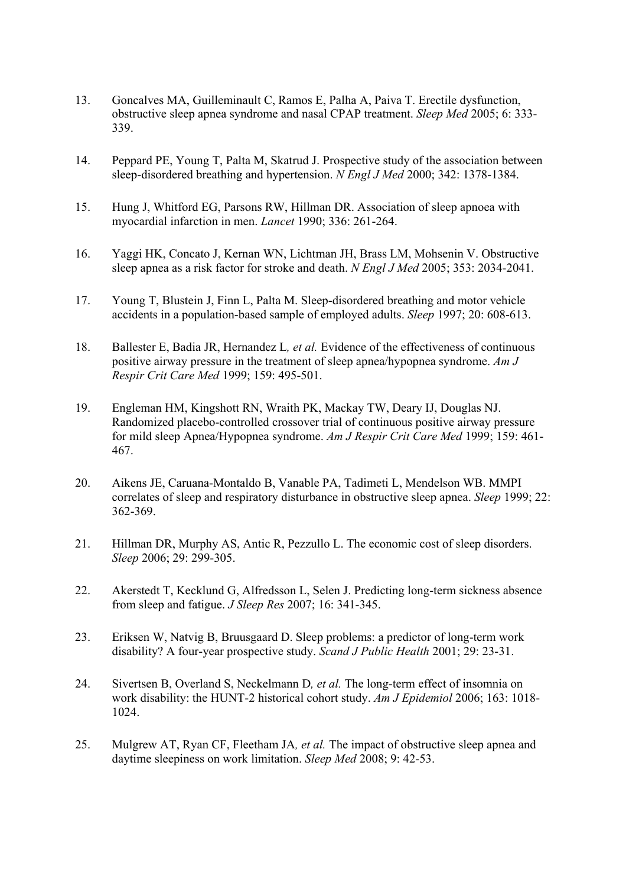- 13. Goncalves MA, Guilleminault C, Ramos E, Palha A, Paiva T. Erectile dysfunction, obstructive sleep apnea syndrome and nasal CPAP treatment. *Sleep Med* 2005; 6: 333- 339.
- 14. Peppard PE, Young T, Palta M, Skatrud J. Prospective study of the association between sleep-disordered breathing and hypertension. *N Engl J Med* 2000; 342: 1378-1384.
- 15. Hung J, Whitford EG, Parsons RW, Hillman DR. Association of sleep apnoea with myocardial infarction in men. *Lancet* 1990; 336: 261-264.
- 16. Yaggi HK, Concato J, Kernan WN, Lichtman JH, Brass LM, Mohsenin V. Obstructive sleep apnea as a risk factor for stroke and death. *N Engl J Med* 2005; 353: 2034-2041.
- 17. Young T, Blustein J, Finn L, Palta M. Sleep-disordered breathing and motor vehicle accidents in a population-based sample of employed adults. *Sleep* 1997; 20: 608-613.
- 18. Ballester E, Badia JR, Hernandez L*, et al.* Evidence of the effectiveness of continuous positive airway pressure in the treatment of sleep apnea/hypopnea syndrome. *Am J Respir Crit Care Med* 1999; 159: 495-501.
- 19. Engleman HM, Kingshott RN, Wraith PK, Mackay TW, Deary IJ, Douglas NJ. Randomized placebo-controlled crossover trial of continuous positive airway pressure for mild sleep Apnea/Hypopnea syndrome. *Am J Respir Crit Care Med* 1999; 159: 461- 467.
- 20. Aikens JE, Caruana-Montaldo B, Vanable PA, Tadimeti L, Mendelson WB. MMPI correlates of sleep and respiratory disturbance in obstructive sleep apnea. *Sleep* 1999; 22: 362-369.
- 21. Hillman DR, Murphy AS, Antic R, Pezzullo L. The economic cost of sleep disorders. *Sleep* 2006; 29: 299-305.
- 22. Akerstedt T, Kecklund G, Alfredsson L, Selen J. Predicting long-term sickness absence from sleep and fatigue. *J Sleep Res* 2007; 16: 341-345.
- 23. Eriksen W, Natvig B, Bruusgaard D. Sleep problems: a predictor of long-term work disability? A four-year prospective study. *Scand J Public Health* 2001; 29: 23-31.
- 24. Sivertsen B, Overland S, Neckelmann D*, et al.* The long-term effect of insomnia on work disability: the HUNT-2 historical cohort study. *Am J Epidemiol* 2006; 163: 1018- 1024.
- 25. Mulgrew AT, Ryan CF, Fleetham JA*, et al.* The impact of obstructive sleep apnea and daytime sleepiness on work limitation. *Sleep Med* 2008; 9: 42-53.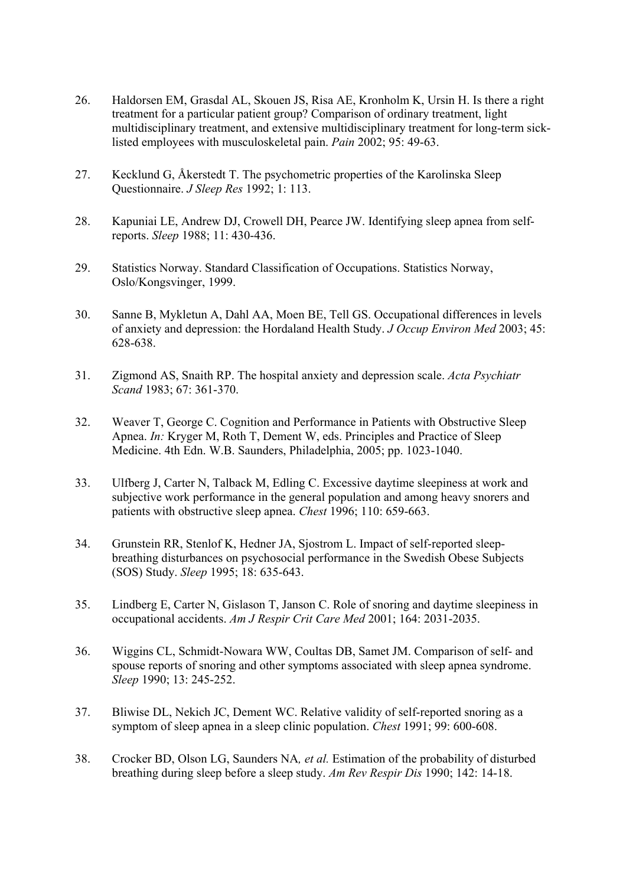- 26. Haldorsen EM, Grasdal AL, Skouen JS, Risa AE, Kronholm K, Ursin H. Is there a right treatment for a particular patient group? Comparison of ordinary treatment, light multidisciplinary treatment, and extensive multidisciplinary treatment for long-term sicklisted employees with musculoskeletal pain. *Pain* 2002; 95: 49-63.
- 27. Kecklund G, Åkerstedt T. The psychometric properties of the Karolinska Sleep Questionnaire. *J Sleep Res* 1992; 1: 113.
- 28. Kapuniai LE, Andrew DJ, Crowell DH, Pearce JW. Identifying sleep apnea from selfreports. *Sleep* 1988; 11: 430-436.
- 29. Statistics Norway. Standard Classification of Occupations. Statistics Norway, Oslo/Kongsvinger, 1999.
- 30. Sanne B, Mykletun A, Dahl AA, Moen BE, Tell GS. Occupational differences in levels of anxiety and depression: the Hordaland Health Study. *J Occup Environ Med* 2003; 45: 628-638.
- 31. Zigmond AS, Snaith RP. The hospital anxiety and depression scale. *Acta Psychiatr Scand* 1983; 67: 361-370.
- 32. Weaver T, George C. Cognition and Performance in Patients with Obstructive Sleep Apnea. *In:* Kryger M, Roth T, Dement W, eds. Principles and Practice of Sleep Medicine. 4th Edn. W.B. Saunders, Philadelphia, 2005; pp. 1023-1040.
- 33. Ulfberg J, Carter N, Talback M, Edling C. Excessive daytime sleepiness at work and subjective work performance in the general population and among heavy snorers and patients with obstructive sleep apnea. *Chest* 1996; 110: 659-663.
- 34. Grunstein RR, Stenlof K, Hedner JA, Sjostrom L. Impact of self-reported sleepbreathing disturbances on psychosocial performance in the Swedish Obese Subjects (SOS) Study. *Sleep* 1995; 18: 635-643.
- 35. Lindberg E, Carter N, Gislason T, Janson C. Role of snoring and daytime sleepiness in occupational accidents. *Am J Respir Crit Care Med* 2001; 164: 2031-2035.
- 36. Wiggins CL, Schmidt-Nowara WW, Coultas DB, Samet JM. Comparison of self- and spouse reports of snoring and other symptoms associated with sleep apnea syndrome. *Sleep* 1990; 13: 245-252.
- 37. Bliwise DL, Nekich JC, Dement WC. Relative validity of self-reported snoring as a symptom of sleep apnea in a sleep clinic population. *Chest* 1991; 99: 600-608.
- 38. Crocker BD, Olson LG, Saunders NA*, et al.* Estimation of the probability of disturbed breathing during sleep before a sleep study. *Am Rev Respir Dis* 1990; 142: 14-18.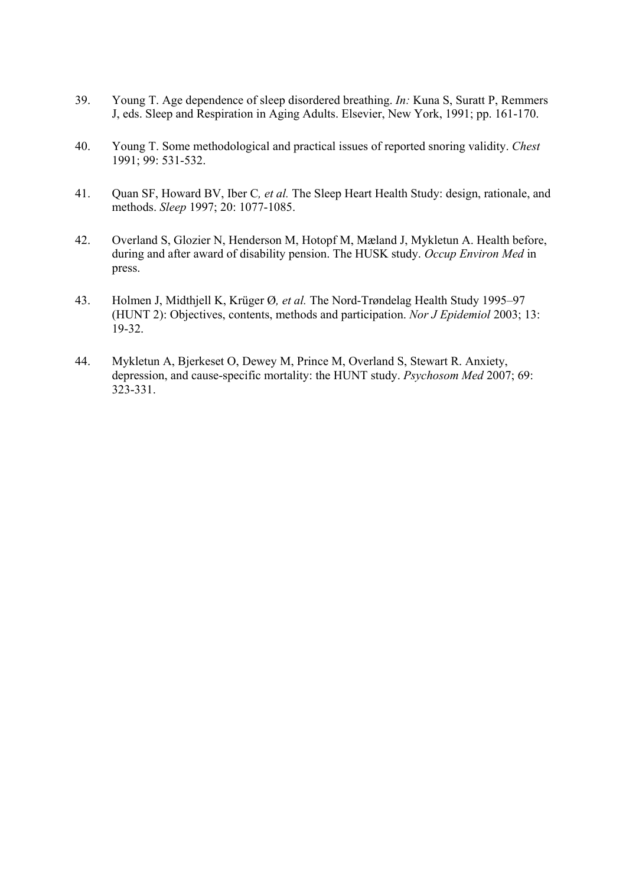- 39. Young T. Age dependence of sleep disordered breathing. *In:* Kuna S, Suratt P, Remmers J, eds. Sleep and Respiration in Aging Adults. Elsevier, New York, 1991; pp. 161-170.
- 40. Young T. Some methodological and practical issues of reported snoring validity. *Chest*  1991; 99: 531-532.
- 41. Quan SF, Howard BV, Iber C*, et al.* The Sleep Heart Health Study: design, rationale, and methods. *Sleep* 1997; 20: 1077-1085.
- 42. Overland S, Glozier N, Henderson M, Hotopf M, Mæland J, Mykletun A. Health before, during and after award of disability pension. The HUSK study. *Occup Environ Med* in press.
- 43. Holmen J, Midthjell K, Krüger Ø*, et al.* The Nord-Trøndelag Health Study 1995–97 (HUNT 2): Objectives, contents, methods and participation. *Nor J Epidemiol* 2003; 13: 19-32.
- 44. Mykletun A, Bjerkeset O, Dewey M, Prince M, Overland S, Stewart R. Anxiety, depression, and cause-specific mortality: the HUNT study. *Psychosom Med* 2007; 69: 323-331.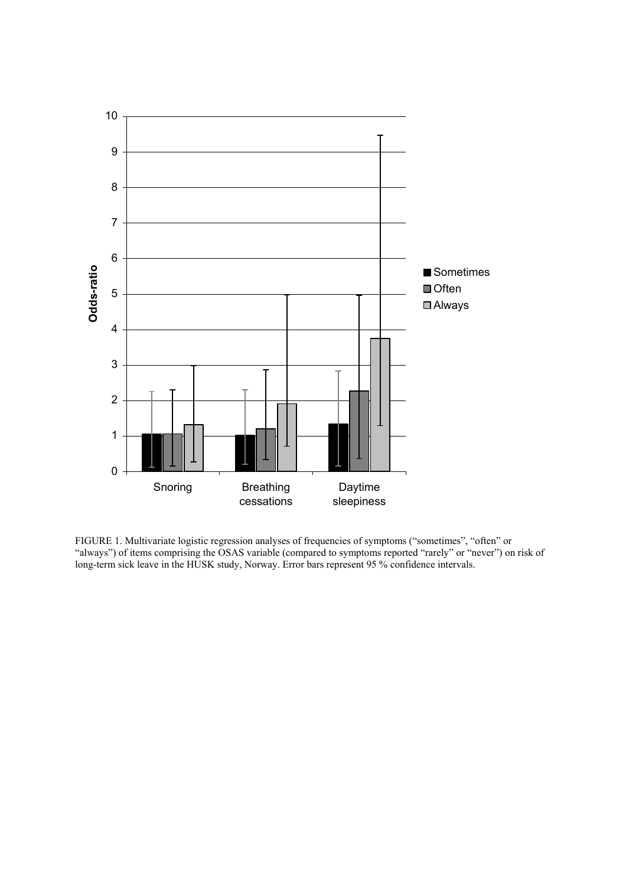

FIGURE 1. Multivariate logistic regression analyses of frequencies of symptoms ("sometimes", "often" or "always") of items comprising the OSAS variable (compared to symptoms reported "rarely" or "never") on risk of long-term sick leave in the HUSK study, Norway. Error bars represent 95 % confidence intervals.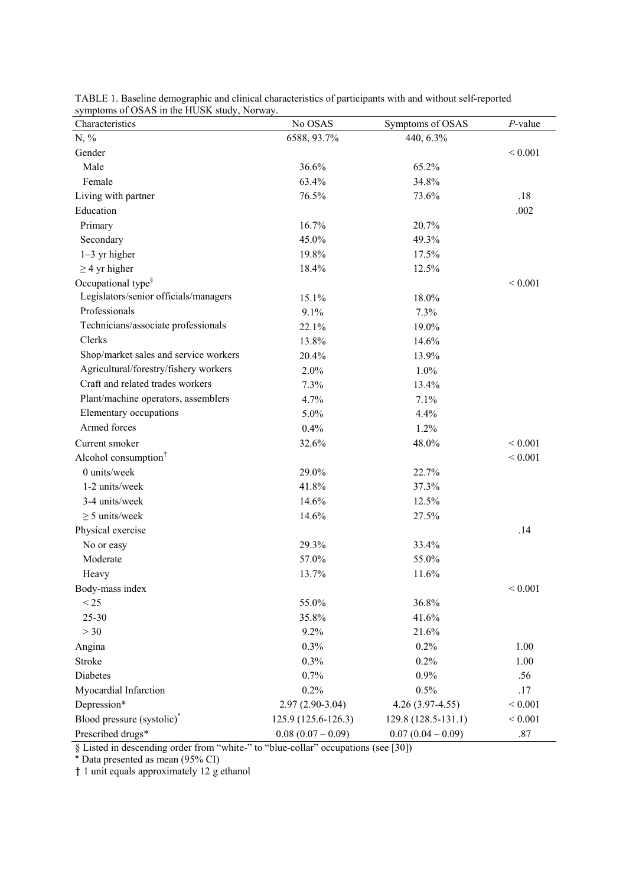| $\frac{1}{2}$ symptoms of OSAS in the HOSN study, individy.<br>Characteristics | No OSAS             | Symptoms of OSAS    | $P$ -value  |
|--------------------------------------------------------------------------------|---------------------|---------------------|-------------|
| $N, \%$                                                                        | 6588, 93.7%         | 440, 6.3%           |             |
| Gender                                                                         |                     |                     | ${}< 0.001$ |
| Male                                                                           | 36.6%               | 65.2%               |             |
| Female                                                                         | 63.4%               | 34.8%               |             |
| Living with partner                                                            | 76.5%               | 73.6%               | .18         |
| Education                                                                      |                     |                     | .002        |
| Primary                                                                        | 16.7%               | 20.7%               |             |
| Secondary                                                                      | 45.0%               | 49.3%               |             |
| $1-3$ yr higher                                                                | 19.8%               | 17.5%               |             |
| $\geq$ 4 yr higher                                                             | 18.4%               | 12.5%               |             |
| Occupational type <sup>§</sup>                                                 |                     |                     | ${}< 0.001$ |
| Legislators/senior officials/managers                                          | 15.1%               | 18.0%               |             |
| Professionals                                                                  | 9.1%                | 7.3%                |             |
| Technicians/associate professionals                                            | 22.1%               | 19.0%               |             |
| Clerks                                                                         | 13.8%               | 14.6%               |             |
| Shop/market sales and service workers                                          | 20.4%               | 13.9%               |             |
| Agricultural/forestry/fishery workers                                          | 2.0%                | 1.0%                |             |
| Craft and related trades workers                                               | 7.3%                | 13.4%               |             |
| Plant/machine operators, assemblers                                            | 4.7%                | 7.1%                |             |
| Elementary occupations                                                         | 5.0%                | 4.4%                |             |
| Armed forces                                                                   | 0.4%                | 1.2%                |             |
| Current smoker                                                                 | 32.6%               | 48.0%               | ${}< 0.001$ |
| Alcohol consumption <sup>†</sup>                                               |                     |                     | < 0.001     |
| 0 units/week                                                                   | 29.0%               | 22.7%               |             |
| 1-2 units/week                                                                 | 41.8%               | 37.3%               |             |
| 3-4 units/week                                                                 | 14.6%               | 12.5%               |             |
| $\geq$ 5 units/week                                                            | 14.6%               | 27.5%               |             |
| Physical exercise                                                              |                     |                     | .14         |
| No or easy                                                                     | 29.3%               | 33.4%               |             |
| Moderate                                                                       | 57.0%               | 55.0%               |             |
| Heavy                                                                          | 13.7%               | 11.6%               |             |
| Body-mass index                                                                |                     |                     | < 0.001     |
| < 25                                                                           | 55.0%               | 36.8%               |             |
| 25-30                                                                          | 35.8%               | 41.6%               |             |
| >30                                                                            | 9.2%                | 21.6%               |             |
| Angina                                                                         | 0.3%                | 0.2%                | 1.00        |
| Stroke                                                                         | 0.3%                | 0.2%                | 1.00        |
| Diabetes                                                                       | 0.7%                | 0.9%                | .56         |
| Myocardial Infarction                                                          | 0.2%                | 0.5%                | .17         |
| Depression*                                                                    | $2.97(2.90-3.04)$   | $4.26(3.97-4.55)$   | $< 0.001$   |
| Blood pressure (systolic) <sup>*</sup>                                         | 125.9 (125.6-126.3) | 129.8 (128.5-131.1) | ${}< 0.001$ |
| Prescribed drugs*                                                              | $0.08(0.07-0.09)$   | $0.07(0.04-0.09)$   | $.87\,$     |

TABLE 1. Baseline demographic and clinical characteristics of participants with and without self-reported symptoms of OSAS in the HUSK study, Norway.

§ Listed in descending order from "white-" to "blue-collar" occupations (see [30])

\* Data presented as mean (95% CI)

† 1 unit equals approximately 12 g ethanol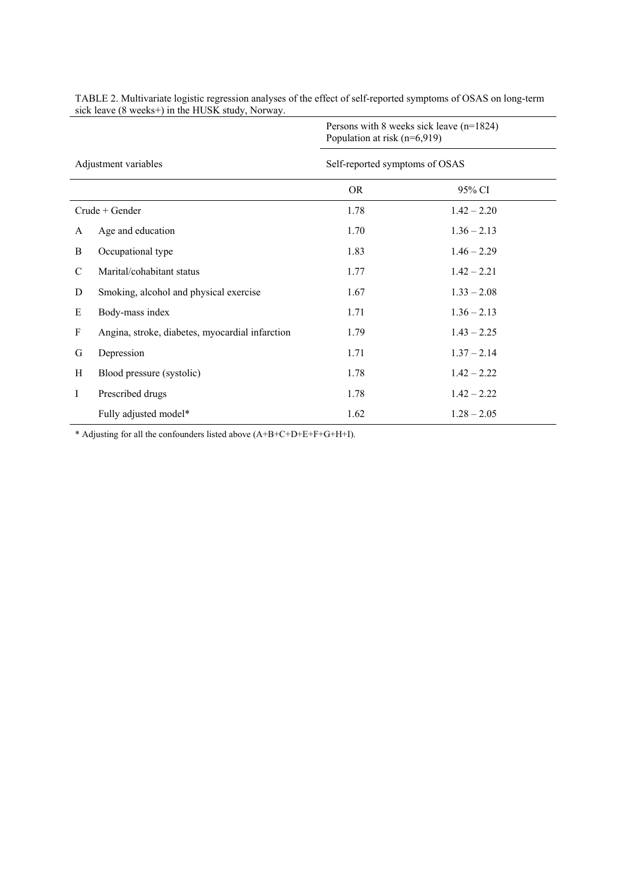|                      |                                                 | Persons with 8 weeks sick leave $(n=1824)$<br>Population at risk (n=6,919) |               |  |  |
|----------------------|-------------------------------------------------|----------------------------------------------------------------------------|---------------|--|--|
| Adjustment variables |                                                 | Self-reported symptoms of OSAS                                             |               |  |  |
|                      |                                                 | <b>OR</b>                                                                  | 95% CI        |  |  |
| $Crude + Gender$     |                                                 | 1.78                                                                       | $1.42 - 2.20$ |  |  |
| A                    | Age and education                               | 1.70                                                                       | $1.36 - 2.13$ |  |  |
| B                    | Occupational type                               | 1.83                                                                       | $1.46 - 2.29$ |  |  |
| $\mathcal{C}$        | Marital/cohabitant status                       | 1.77                                                                       | $1.42 - 2.21$ |  |  |
| D                    | Smoking, alcohol and physical exercise          | 1.67                                                                       | $1.33 - 2.08$ |  |  |
| E                    | Body-mass index                                 | 1.71                                                                       | $1.36 - 2.13$ |  |  |
| F                    | Angina, stroke, diabetes, myocardial infarction | 1.79                                                                       | $1.43 - 2.25$ |  |  |
| G                    | Depression                                      | 1.71                                                                       | $1.37 - 2.14$ |  |  |
| H                    | Blood pressure (systolic)                       | 1.78                                                                       | $1.42 - 2.22$ |  |  |
| I                    | Prescribed drugs                                | 1.78                                                                       | $1.42 - 2.22$ |  |  |
|                      | Fully adjusted model*                           | 1.62                                                                       | $1.28 - 2.05$ |  |  |

TABLE 2. Multivariate logistic regression analyses of the effect of self-reported symptoms of OSAS on long-term sick leave (8 weeks+) in the HUSK study, Norway.

\* Adjusting for all the confounders listed above (A+B+C+D+E+F+G+H+I).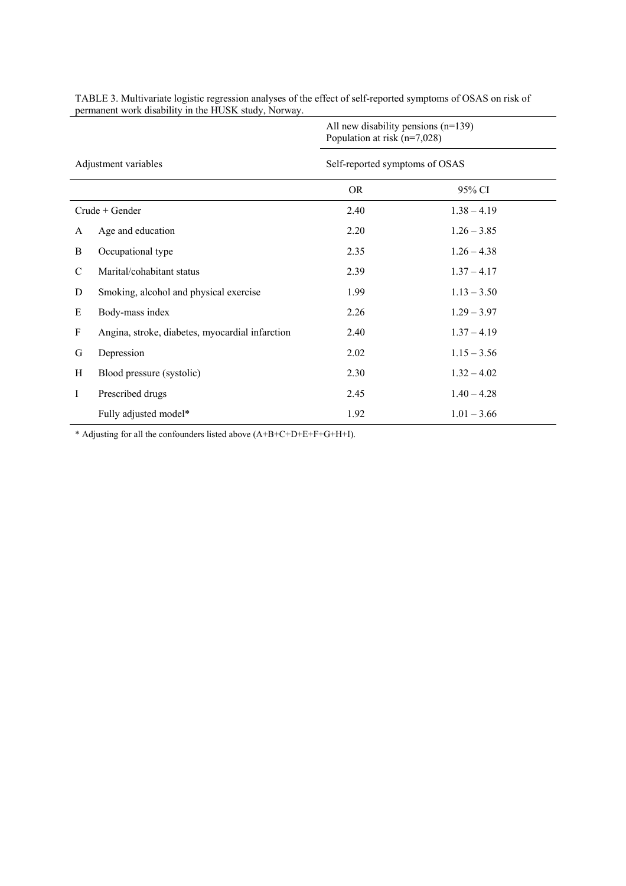| Adjustment variables |                                                 | All new disability pensions $(n=139)$<br>Population at risk (n=7,028) |               |  |  |
|----------------------|-------------------------------------------------|-----------------------------------------------------------------------|---------------|--|--|
|                      |                                                 | Self-reported symptoms of OSAS                                        |               |  |  |
|                      |                                                 | <b>OR</b>                                                             | 95% CI        |  |  |
| $Crude + Gender$     |                                                 | 2.40                                                                  | $1.38 - 4.19$ |  |  |
| A                    | Age and education                               | 2.20                                                                  | $1.26 - 3.85$ |  |  |
| B                    | Occupational type                               | 2.35                                                                  | $1.26 - 4.38$ |  |  |
| $\mathcal{C}$        | Marital/cohabitant status                       | 2.39                                                                  | $1.37 - 4.17$ |  |  |
| D                    | Smoking, alcohol and physical exercise          | 1.99                                                                  | $1.13 - 3.50$ |  |  |
| E                    | Body-mass index                                 | 2.26                                                                  | $1.29 - 3.97$ |  |  |
| F                    | Angina, stroke, diabetes, myocardial infarction | 2.40                                                                  | $1.37 - 4.19$ |  |  |
| G                    | Depression                                      | 2.02                                                                  | $1.15 - 3.56$ |  |  |
| H                    | Blood pressure (systolic)                       | 2.30                                                                  | $1.32 - 4.02$ |  |  |
| Ι                    | Prescribed drugs                                | 2.45                                                                  | $1.40 - 4.28$ |  |  |
|                      | Fully adjusted model*                           | 1.92                                                                  | $1.01 - 3.66$ |  |  |

TABLE 3. Multivariate logistic regression analyses of the effect of self-reported symptoms of OSAS on risk of permanent work disability in the HUSK study, Norway.

\* Adjusting for all the confounders listed above (A+B+C+D+E+F+G+H+I).